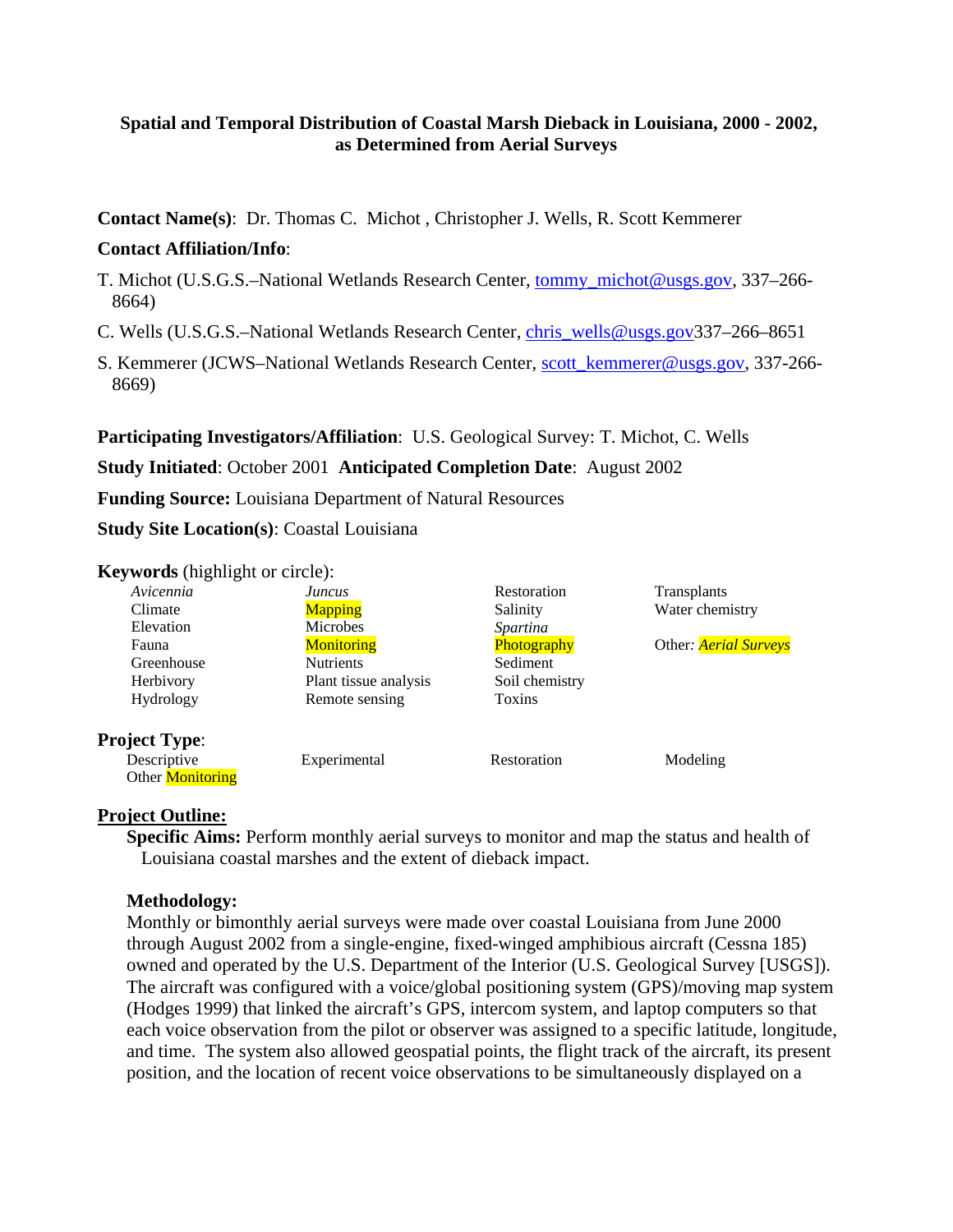# **Spatial and Temporal Distribution of Coastal Marsh Dieback in Louisiana, 2000 - 2002, as Determined from Aerial Surveys**

**Contact Name(s)**: Dr. Thomas C. Michot , Christopher J. Wells, R. Scott Kemmerer

# **Contact Affiliation/Info**:

- T. Michot (U.S.G.S.–National Wetlands Research Center, tommy\_michot@usgs.gov, 337–266- 8664)
- C. Wells (U.S.G.S.–National Wetlands Research Center, chris\_wells@usgs.gov337–266–8651
- S. Kemmerer (JCWS–National Wetlands Research Center, scott\_kemmerer@usgs.gov, 337-266- 8669)

**Participating Investigators/Affiliation**: U.S. Geological Survey: T. Michot, C. Wells

# **Study Initiated**: October 2001 **Anticipated Completion Date**: August 2002

**Funding Source:** Louisiana Department of Natural Resources

**Study Site Location(s)**: Coastal Louisiana

### **Keywords** (highlight or circle):

| Avicennia               | Juncus                | Restoration     | Transplants                  |
|-------------------------|-----------------------|-----------------|------------------------------|
| Climate                 | <b>Mapping</b>        | Salinity        | Water chemistry              |
| Elevation               | <b>Microbes</b>       | <i>Spartina</i> |                              |
| Fauna                   | <b>Monitoring</b>     | Photography     | Other: <i>Aerial Surveys</i> |
| Greenhouse              | <b>Nutrients</b>      | Sediment        |                              |
| Herbivory               | Plant tissue analysis | Soil chemistry  |                              |
| <b>Hydrology</b>        | Remote sensing        | Toxins          |                              |
| <b>Project Type:</b>    |                       |                 |                              |
| Descriptive             | Experimental          | Restoration     | Modeling                     |
| Other <b>Monitoring</b> |                       |                 |                              |

# **Project Outline:**

**Specific Aims:** Perform monthly aerial surveys to monitor and map the status and health of Louisiana coastal marshes and the extent of dieback impact.

### **Methodology:**

Monthly or bimonthly aerial surveys were made over coastal Louisiana from June 2000 through August 2002 from a single-engine, fixed-winged amphibious aircraft (Cessna 185) owned and operated by the U.S. Department of the Interior (U.S. Geological Survey [USGS]). The aircraft was configured with a voice/global positioning system (GPS)/moving map system (Hodges 1999) that linked the aircraft's GPS, intercom system, and laptop computers so that each voice observation from the pilot or observer was assigned to a specific latitude, longitude, and time. The system also allowed geospatial points, the flight track of the aircraft, its present position, and the location of recent voice observations to be simultaneously displayed on a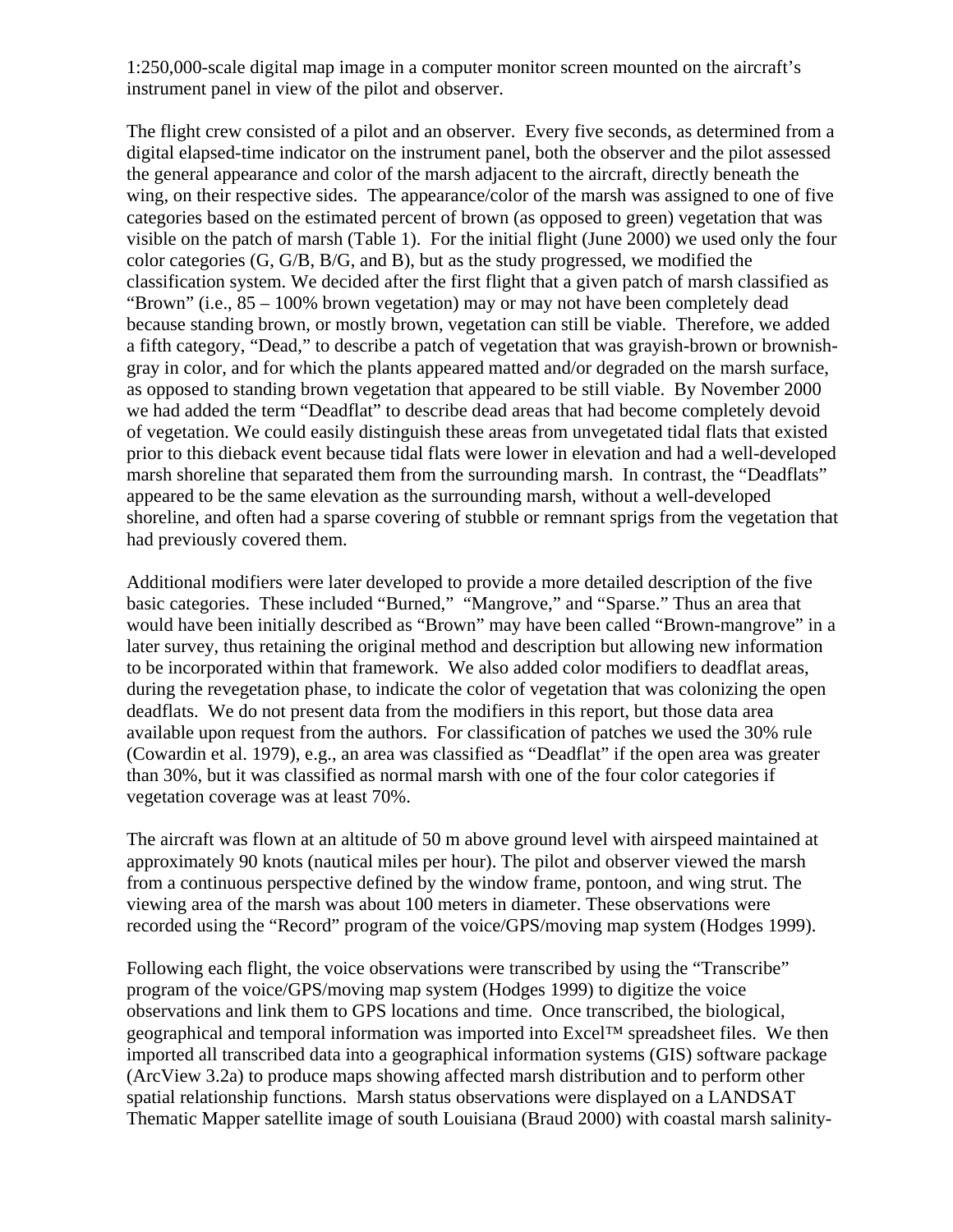1:250,000-scale digital map image in a computer monitor screen mounted on the aircraft's instrument panel in view of the pilot and observer.

The flight crew consisted of a pilot and an observer. Every five seconds, as determined from a digital elapsed-time indicator on the instrument panel, both the observer and the pilot assessed the general appearance and color of the marsh adjacent to the aircraft, directly beneath the wing, on their respective sides. The appearance/color of the marsh was assigned to one of five categories based on the estimated percent of brown (as opposed to green) vegetation that was visible on the patch of marsh (Table 1). For the initial flight (June 2000) we used only the four color categories (G, G/B, B/G, and B), but as the study progressed, we modified the classification system. We decided after the first flight that a given patch of marsh classified as "Brown" (i.e., 85 – 100% brown vegetation) may or may not have been completely dead because standing brown, or mostly brown, vegetation can still be viable. Therefore, we added a fifth category, "Dead," to describe a patch of vegetation that was grayish-brown or brownishgray in color, and for which the plants appeared matted and/or degraded on the marsh surface, as opposed to standing brown vegetation that appeared to be still viable. By November 2000 we had added the term "Deadflat" to describe dead areas that had become completely devoid of vegetation. We could easily distinguish these areas from unvegetated tidal flats that existed prior to this dieback event because tidal flats were lower in elevation and had a well-developed marsh shoreline that separated them from the surrounding marsh. In contrast, the "Deadflats" appeared to be the same elevation as the surrounding marsh, without a well-developed shoreline, and often had a sparse covering of stubble or remnant sprigs from the vegetation that had previously covered them.

Additional modifiers were later developed to provide a more detailed description of the five basic categories. These included "Burned," "Mangrove," and "Sparse." Thus an area that would have been initially described as "Brown" may have been called "Brown-mangrove" in a later survey, thus retaining the original method and description but allowing new information to be incorporated within that framework. We also added color modifiers to deadflat areas, during the revegetation phase, to indicate the color of vegetation that was colonizing the open deadflats. We do not present data from the modifiers in this report, but those data area available upon request from the authors. For classification of patches we used the 30% rule (Cowardin et al. 1979), e.g., an area was classified as "Deadflat" if the open area was greater than 30%, but it was classified as normal marsh with one of the four color categories if vegetation coverage was at least 70%.

The aircraft was flown at an altitude of 50 m above ground level with airspeed maintained at approximately 90 knots (nautical miles per hour). The pilot and observer viewed the marsh from a continuous perspective defined by the window frame, pontoon, and wing strut. The viewing area of the marsh was about 100 meters in diameter. These observations were recorded using the "Record" program of the voice/GPS/moving map system (Hodges 1999).

Following each flight, the voice observations were transcribed by using the "Transcribe" program of the voice/GPS/moving map system (Hodges 1999) to digitize the voice observations and link them to GPS locations and time. Once transcribed, the biological, geographical and temporal information was imported into Excel™ spreadsheet files. We then imported all transcribed data into a geographical information systems (GIS) software package (ArcView 3.2a) to produce maps showing affected marsh distribution and to perform other spatial relationship functions. Marsh status observations were displayed on a LANDSAT Thematic Mapper satellite image of south Louisiana (Braud 2000) with coastal marsh salinity